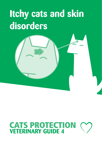# **Itchy cats and skin disorders**

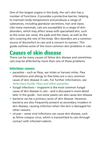One of the largest organs in the body, the cat's skin has a number of functions. It provides a protective barrier, helping to maintain body temperature and produces a range of substances, including glandular secretions, hair and claws. Like many mammals, cats are susceptible to a range of skin disorders, which may affect areas with specialised skin, such as the outer ear canal, the pads and the claws, as well as the skin covering the rest of the body. Skin disorders are a common source of discomfort to cats and a concern to owners. This guide outlines some of the more common skin problems in cats.

### **Causes of skin disease**

There can be many causes of feline skin disease and sometimes cats may be affected by more than one of these problems.

#### **Infectious causes:**

- **•** parasites such as fleas, ear mites or harvest mites. Flea infestations and allergy to flea bites are a very common cause of skin disease in cats. For further information, see *Veterinary Guide: Fleas and other parasites*.
- **•** fungal infections ringworm is the most common fungal cause of skin disease in cats – and is discussed in more detail later in the guide – but some yeasts can also cause skin disease
- **•** bacteria can be a primary cause of skin disease. However, bacteria are also frequently present as secondary invaders in skin disease, causing infection when the skin is damaged for other reasons
- **•** viruses some viral infections can cause skin disease, such as feline cowpox virus, which is transmitted to cats through contact with infected rodents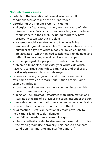#### **Non-infectious causes:**

- **•** defects in the formation of normal skin can result in conditions such as feline acne or seborrhoea
- **•** disorders of the immune system, including:
	- allergies a flea allergy is a very common cause of skin disease in cats. Cats can also become allergic or intolerant of substances in their diet, including foods they have previously eaten without problem
	- Hypereosinophilic syndrome, also known as feline eosinophilic granuloma complex. This occurs when excessive numbers of a type of white blood cell, called eosinophils, are activated – which can lead to itchiness, skin damage and self-inflicted trauma, as well as ulcers on the lips
- **•** sun damage just like people, too much sun can be a problem to feline skin, particularly for white cats which have very sensitive skin. White ears, noses and eyelids are particularly susceptible to sun damage
- **•** cancers a variety of growths and tumours are seen in cats, some of which are more serious than others. Some examples include:
	- squamous cell carcinoma more common in cats which have suffered sun damage
	- injection-site sarcomas associated with inflammation and scarring at the site of a previous injection, just under the skin
- **•** chemicals contact dermatitis may be seen when chemicals a cat is sensitive to come into contact with the skin
- **•** drug reactions cats can occasionally react adversely to medications leading to skin damage
- **•** other feline disorders may cause skin signs:
	- obesity, arthritis or dental disease can make it difficult for the cat to groom itself properly. This leads to poor coat condition, hair matting and scurf or dandruff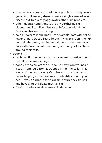- stress may cause cats to trigger a problem through overgrooming. However, stress is rarely a single cause of skin disease but frequently aggravates other skin problems
- other medical conditions such as hyperthyroidism, diabetes mellitus, liver disease or infection with FIV or FeLV can also lead to skin signs
- pain elsewhere in the body for example, cats with feline lower urinary tract disease frequently over-groom the skin on their abdomen, leading to baldness of their tummies. Cats with disorders of their anal glands may lick or chew around their tails.
- **•** trauma
	- cat bites, fight wounds and involvement in road accidents can all cause skin damage
	- poorly fitting collars can also cause nasty skin wounds if a cat's front leg becomes trapped inside the collar. This is one of the reasons why Cats Protection recommends microchipping as the best way for identification of your pet – if you do choose to fit collars, ensure they fit well and have a quick-release mechanism
	- foreign bodies can also cause skin damage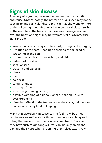## **Signs of skin disease**

A variety of signs may be seen, dependent on the condition and cause. Unfortunately, the pattern of signs seen may not be specific to any particular disorder. A cat may show one or more of the following signs which may be in one focal place – such as the ears, face, the back or tail base – or more generalised over the body, and signs may be symmetrical or asymmetrical. Signs include:

- **•** skin wounds which may also be moist, oozing or discharging
- **•** irritation of the ears leading to shaking of the head or scratching at the ears
- **•** itchiness which leads to scratching and biting
- **•** redness of the skin
- **•** spots or scabs
- **•** crusting and dandruff
- **•** ulcers
- **•** lumps
- **•** baldness
- **•** colour changes
- **•** matting of the hair
- **•** excessive grooming activity
- **•** possible vomiting of hair balls or constipation due to over-grooming
- **•** disorders affecting the feet such as the claws, nail beds or pads – which may lead to limping

Many skin disorders can cause cats to feel itchy, but they can be very secretive about this – often only scratching and biting themselves when their owners are absent. Because they have such rough tongues, cats can actually break and damage their hairs when grooming themselves excessively,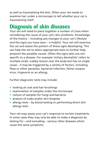as well as traumatising the skin. Often your vet needs to examine hair under a microscope to tell whether your cat is traumatising itself.

### **Diagnosis of skin diseases**

Your vet will need to piece together a number of clues when considering the cause of your cat's skin problems. Knowledge of the history – including any changes to your cat's lifestyle and the signs you have seen – is helpful. Your vet will examine the cat and assess the pattern of these signs developing. This can help the vet to select appropriate tests to further help pinpoint the possible causes. Often the signs seen are not specific to a disease. For example 'miliary dermatitis' refers to multiple small, scabby lesions over the body but has no single cause – it may be triggered by a variety of factors, including fleas or other parasites, bacterial infection, feline cowpox virus, ringworm or an allergy.

Further diagnostic tests may include:

- **•** looking at coat and hair brushings
- **•** examination of samples under the microscope
- **•** culture of samples for fungi and bacteria
- **•** analysis of scabs and/or skin biopsies
- **•** allergy tests by blood testing or performing direct skin allergy tests

Your vet may assess your cat's response to certain treatments. In some cases they may only be able to make a diagnosis by testing for – and excluding – various other diseases which cause the same symptoms.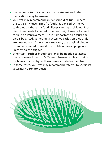- **•** the response to suitable parasite treatment and other medications may be assessed
- **•** your vet may recommend an exclusion diet trial where the cat is only given specific foods, as advised by the vet, to find out if there is a food allergy causing problems. Each diet often needs to be fed for at least eight weeks to see if there is an improvement – so it is important to ensure the diet is balanced. Sometimes successive exclusion diet trials are needed and if the issue is resolved, the original diet will often be resumed to see if the problem flares up again – identifying the trigger
- **•** other tests, such as blood tests, may be needed to assess the cat's overall health. Different diseases can lead to skin problems, such as hyperthyroidism or diabetes mellitus
- **•** in some cases, your vet may recommend referral to specialist veterinary dermatologists

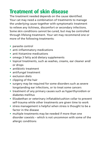### **Treatment of skin disease**

The treatment needed depends on the cause identified. Your cat may need a combination of treatments to manage the underlying cause together with symptomatic treatment to relieve any itchiness, discomfort or secondary infections. Some skin conditions cannot be cured, but may be controlled through lifelong treatment. Your vet may recommend one or more of the following treatments:

- **•** parasite control
- **•** anti-inflammatory medications
- **•** anti-histamine medications
- **•** omega 3 fatty acid dietary supplements
- **•** topical treatments, such as washes, creams, ear cleaner and/ or drops
- **•** antibiotic treatment
- **•** antifungal treatment
- **•** exclusion diets
- **•** clipping of the hair
- **•** surgery may be required for some disorders such as severe longstanding ear infections, or to treat some cancers
- **•** treatment of any primary causes such as hyperthyroidism or diabetes mellitus
- **•** Elizabethan or veterinary inflatable/cushion collar to prevent self-trauma while other treatments are given time to work
- **•** stress management is helpful when stress is thought to be a factor in the disease
- **•** multiple treatments may be needed if more than one disorder coexists – which is not uncommon with some of the allergic conditions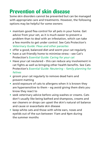### **Prevention of skin disease**

Some skin disorders cannot be prevented but can be managed with appropriate care and treatments. However, the following options may be helpful for some owners:

- **•** maintain good flea control for all pets in your home. Get advice from your vet, as it is much easier to prevent a problem than to deal with an infestation, which can take a few months to get under control. See Cats Protection's *Veterinary Guide: Fleas and other parasites*
- **•** offer a good, balanced diet and worm your cat regularly
- **•** have a cat-friendly home to minimise stress see Cat's Protection's *Essential Guide: Caring for your cat*
- **•** Have your cat neutered this can reduce any involvement in cat fights as well as bringing other health benefits. See Cats Protection's *Essential Guide: Neutering – family planning for felines*
- **•** groom your cat regularly to remove dead hairs and prevent matting
- **•** avoid exposure of cats to allergens when it is known they are hypersensitive to them – eg avoid giving them diets you know they react to
- **•** seek veterinary advice before using washes or creams. Cats don't usually like being bathed and shampoos, creams and ear cleaners or drops can upset the skin's natural oil balance and cause or exacerbate skin disease
- **•** keep white cats and those with white ears, noses and eyelids out of the sun between 11am and 4pm during the summer months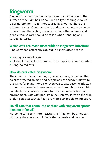## **Ringworm**

Ringworm is the common name given to an infection of the surface of the skin, hair or nails with a type of fungus called a dermatophyte – so it is not caused by a worm. There are different types of dermatophyte and some are more common in cats than others. Ringworm can affect other animals and people too, so care should be taken when handling any suspected cases.

#### **Which cats are most susceptible to ringworm infection?**

Ringworm can affect any cat, but it is most often seen in:

- **•** young or very old cats
- **•** ill, debilitated cats, or those with an impaired immune system
- **•** long-haired cats

#### **How do cats catch ringworm?**

The infective part of the fungus, called a spore, is shed on the hairs of affected animals and people and can survive, blown by the wind, for many months or even years. Cats become infected through exposure to these spores, either through contact with an infected animal or exposure to a contaminated object or environment. Cats with poor immune systems, sores on the skin, or skin parasites such as fleas, are more susceptible to infection.

#### **Do all cats that come into contact with ringworm spores become infected?**

No, some cats seem more resistant to infection, but they can still carry the spores and infect other animals and people.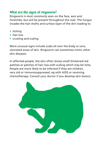#### **What are the signs of ringworm?**

Ringworm is most commonly seen on the face, ears and forelimbs, but will be present throughout the coat. The fungus invades the hair shafts and surface layer of the skin leading to:

- **•** itching
- **•** hair loss
- **•** crusting and scaling

More unusual signs include scabs all over the body or sore, ulcerated areas of skin. Ringworm can sometimes mimic other skin diseases.

In affected people, the skin often shows small thickened red patches or patches of hair loss with scaling which may be itchy. People are more likely to be infected if they are children, very old or immunosuppressed, eg with AIDS or receiving chemotherapy. Consult your doctor if you develop skin lesions.

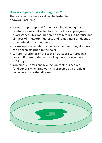#### **How is ringworm in cats diagnosed?**

There are various ways a cat can be tested for ringworm including:

- **•** Woods lamp a special-frequency, ultraviolet light is carefully shone at affected hairs to look for apple-green fluorescence. This does not give a definite result because not all types of ringworm fluoresce and sometimes skin debris or other infection can fluoresce.
- **•** microscope examination of hairs sometimes fungal spores can be seen attached to the hairs
- **•** culture brushings of the coat or crusts are cultured in a lab and if present, ringworm will grow – this may take up to 14 days
- **•** skin biopsy occasionally a section of skin is needed for diagnosis when ringworm is suspected as a problem secondary to another disease

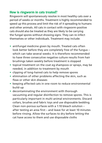#### **How is ringworm in cats treated?**

Ringworm will spontaneously resolve in most healthy cats over a period of weeks or months. Treatment is highly recommended to speed up this process and limit the risk of it spreading to humans and other animals. All cats in contact with ringworm-positive cats should also be treated as they are likely to be carrying the fungal spores without showing signs. They can re-infect themselves or other individuals. Treatment may include:

- **•** antifungal medicine given by mouth. Treated cats often look better before they are completely free of the fungus – which can take several weeks. It is therefore recommended to have three consecutive negative culture results from hair brushings taken weekly before treatment is stopped
- **•** topical treatment on the coat eg shampoos or sprays, may be needed, in addition to treatment by mouth
- **•** clipping of long-haired cats to help remove spores
- **•** elimination of other problems affecting the skin, such as fleas or other skin diseases
- **•** keeping affected cats in one room to reduce environmental build-up
- **•** decontaminating the environment with thorough vacuuming and regular disinfection to remove spores. This is particularly important in multi-animal environments. Discard collars, brushes and fabric toys and use disposable bedding. Clean non-porous surfaces with a 1:10 bleach solution – after testing an area first – and leave for at least 10 minutes before rinsing. Allow the surfaces to dry before letting the cat have access to them and use disposable cloths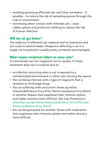- **•** avoiding grooming affected cats until they are better if possible – to reduce the risk of spreading spores through the coat or environment
- **•** minimising direct contact with infected cats wear rubber gloves and protective clothing to reduce the risk of human infection

#### **Will my cat get better?**

The majority of affected cats respond well to treatment and are cured in several weeks. Ringworm affecting a cat in a single-cat household is usually easily contained and managed.

#### **What causes treatment failure in some cats?**

It is extremely rare for ringworm not to resolve. If initial treatment does fail it could be due to:

- **•** re-infection occurring when a cat is exposed to a contaminated environment or other cats carrying the spores
- **•** the cat being infected with a type of ringworm that is resistant to antifungal drugs
- **•** the cat suffering with concurrent illness eg Feline Immunodeficiency Virus (FIV), Feline Leukaemia Virus (FeLV) or another disease that suppresses their immune system and makes recovery more difficult. See Cats Protection's *Veterinary Guide: Feline Immunodeficiency Virus (FIV) and Feline Leukaemia Virus (FeLV)*
- **•** the cat being treated for another illness with medication that suppresses their immune system and makes recovery more difficult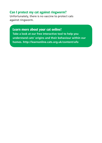#### **Can I protect my cat against ringworm?**

Unfortunately, there is no vaccine to protect cats against ringworm.

#### **Learn more about your cat online!**

**Take a look at our free interactive tool to help you understand cats' origins and their behaviour within our homes. http://learnonline.cats.org.uk/content/ufo**